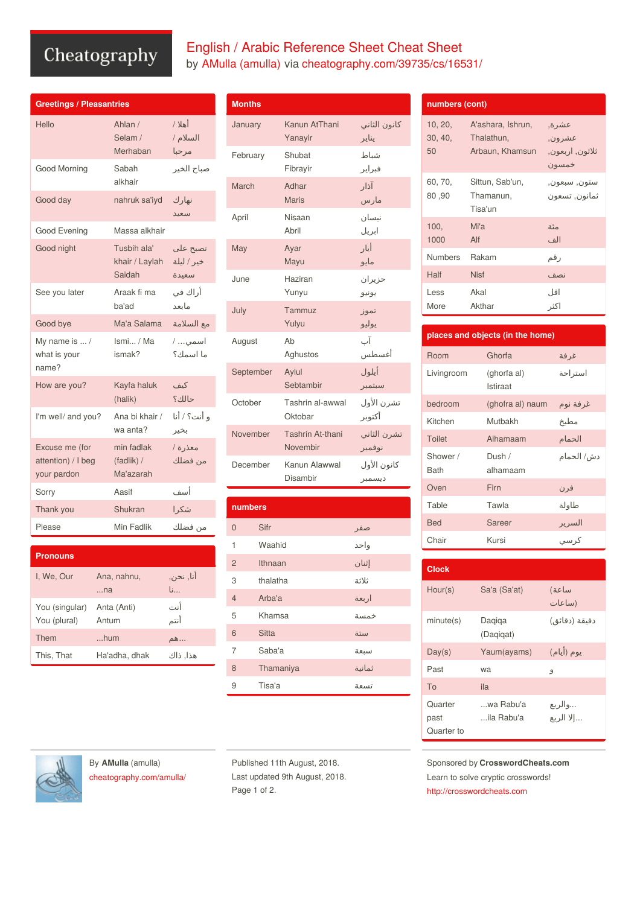## Cheatography

| English / Arabic Reference Sheet Cheat Sheet            |
|---------------------------------------------------------|
| by AMulla (amulla) via cheatography.com/39735/cs/16531/ |

| <b>Greetings / Pleasantries</b>                     |                                         |                                 |
|-----------------------------------------------------|-----------------------------------------|---------------------------------|
| Hello                                               | Ahlan /<br>Selam /<br>Merhaban          | أهلا /<br>السلام /<br>مرحبا     |
| Good Morning                                        | Sabah<br>alkhair                        | صباح الخير                      |
| Good day                                            | nahruk sa'iyd                           | نهار ك<br>سعىد                  |
| Good Evening                                        | Massa alkhair                           |                                 |
| Good night                                          | Tusbih ala'<br>khair / Laylah<br>Saidah | تصبح علي<br>خير / ليلة<br>سعىدة |
| See you later                                       | Araak fi ma<br>ba'ad                    | أراك في<br>مانعد                |
| Good bye                                            | Ma'a Salama                             | مع السلامة                      |
| My name is  /<br>what is your<br>name?              | Ismi / Ma<br>ismak?                     | اسمي /<br>ما اسمك؟              |
| How are you?                                        | Kayfa haluk<br>(halik)                  | كىف<br>حالك؟                    |
| I'm well/ and you?                                  | Ana bi khair /<br>wa anta?              | و أنت؟ / أنا<br>بخير            |
| Excuse me (for<br>attention) / I beg<br>your pardon | min fadlak<br>(fadlik) /<br>Ma'azarah   | معذرة /<br>من فضلك              |
| Sorry                                               | Aasif                                   | أسف                             |
| Thank you                                           | Shukran                                 | شكرا                            |
| Please                                              | Min Fadlik                              | من فضلك                         |

| <b>Pronouns</b>                |                      |                           |
|--------------------------------|----------------------|---------------------------|
| I. We. Our                     | Ana, nahnu,<br>na    | أنا, نحن,<br>$\mathsf{b}$ |
| You (singular)<br>You (plural) | Anta (Anti)<br>Antum | أنت<br>أنتم               |
| Them                           | $$ hum               | …هم                       |
| This, That                     | Ha'adha, dhak        | هذا, ذاك                  |

| <b>Months</b> |                              |                       |
|---------------|------------------------------|-----------------------|
| January       | Kanun AtThani<br>Yanayir     | كانون الثاني<br>يناير |
| February      | Shubat<br>Fibrayir           | شباط<br>فبراير        |
| March         | Adhar<br><b>Maris</b>        | آذار<br>مارس          |
| April         | Nisaan<br>Abril              | نيسان<br>ابريل        |
| May           | Ayar<br>Mayu                 | أيار<br>مايو          |
| June          | Haziran<br>Yunyu             | حزيران<br>يونيو       |
| July          | Tammuz<br>Yulyu              | تموز<br>يوليو         |
| August        | Ab<br>Aghustos               | آب<br>أغسطس           |
| September     | Aylul<br>Sebtambir           | أيلول<br>سبتمبر       |
| October       | Tashrin al-awwal<br>Oktobar  | تشرن الأول<br>أكتوبر  |
| November      | Tashrin At-thani<br>Novembir | تشرن الثاني<br>نوفمبر |
| December      | Kanun Alawwal<br>Disambir    | كانون الأول<br>ديسمبر |

| numbers        |              |        |
|----------------|--------------|--------|
| $\Omega$       | Sifr         | صفر    |
| 1              | Waahid       | واحد   |
| $\overline{2}$ | Ithnaan      | إثنان  |
| 3              | thalatha     | ثلاثة  |
| $\overline{4}$ | Arba'a       | اربعة  |
| 5              | Khamsa       | خمسة   |
| 6              | <b>Sitta</b> | ستة    |
| $\overline{7}$ | Saba'a       | سبعة   |
| 8              | Thamaniya    | ثمانية |
| 9              | Tisa'a       | تسعة   |

| numbers (cont)           |                                                    |                                               |
|--------------------------|----------------------------------------------------|-----------------------------------------------|
| 10, 20,<br>30, 40,<br>50 | A'ashara, Ishrun,<br>Thalathun,<br>Arbaun, Khamsun | عشر ة,<br>عشر ون,<br>ثلاثون, اربعون,<br>خمسون |
| 60, 70,<br>80,90         | Sittun, Sab'un,<br>Thamanun,<br>Tisa'un            | ستون, سبعون,<br>ثمانون, تسعون                 |
| 100.<br>1000             | Mi'a<br>Alf                                        | مئة<br>الف                                    |
| <b>Numbers</b>           | Rakam                                              | رقم                                           |
| Half                     | <b>Nisf</b>                                        | نصف                                           |
| Less                     | Akal                                               | اقا .                                         |

اكثر

| places and objects (in the home) |                         |            |
|----------------------------------|-------------------------|------------|
| Room                             | Ghorfa                  | غرفة       |
| Livingroom                       | (ghorfa al)<br>Istiraat | استراحة    |
| bedroom                          | (ghofra al) naum        | غرفة نوم   |
| Kitchen                          | Mutbakh                 | مطبخ       |
| <b>Toilet</b>                    | Alhamaam                | الحمام     |
| Shower /<br><b>Bath</b>          | Dush /<br>alhamaam      | دش/ الحمام |
| Oven                             | Firn                    | فرن        |
| Table                            | Tawla                   | طاولة      |
| <b>Bed</b>                       | Sareer                  | السرير     |
| Chair                            | Kursi                   | ۔<br>کر سی |

More

Akthar

| <b>Clock</b>                  |                         |                        |
|-------------------------------|-------------------------|------------------------|
| Hour(s)                       | Sa'a (Sa'at)            | ساعة)<br>(ساعات        |
| minute(s)                     | Daqiqa<br>(Dagigat)     | دقيقة (دقائق)          |
| Day(s)                        | Yaum(ayams)             | يوم (أيام)             |
| Past                          | wa                      | 9                      |
| To                            | ila                     |                        |
| Quarter<br>past<br>Quarter to | wa Rabu'a<br>ila Rabu'a | …والربع<br>… إلا الربع |

Sponsored by **CrosswordCheats.com** Learn to solve cryptic crosswords! <http://crosswordcheats.com>

By **AMulla** (amulla) [cheatography.com/amulla/](http://www.cheatography.com/amulla/)

Published 11th August, 2018. Last updated 9th August, 2018. Page 1 of 2.